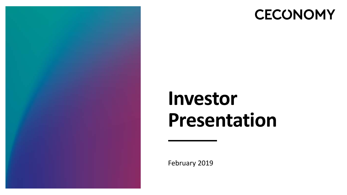

## **CECONOMY**

# **Investor Presentation**

February 2019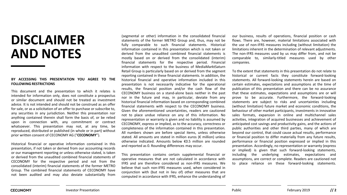## **DISCLAIMER AND NOTES**

#### **BY ACCESSING THIS PRESENTATION YOU AGREE TO THE FOLLOWING RESTRICTIONS**

This document and the presentation to which it relates is intended for information only, does not constitute a prospectus or similar document and should not be treated as investment advice. It is not intended and should not be construed as an offer for sale, or as a solicitation of an offer to purchase or subscribe to, any securities in any jurisdiction. Neither this presentation nor anything contained therein shall form the basis of, or be relied upon in connection with, any commitment or contract whatsoever. This presentation may not, at any time, be reproduced, distributed or published (in whole or in part) without prior written consent of CECONOMY AG ("**CECONOMY**").

Historical financial or operative information contained in this presentation, if not taken or derived from our accounting records or our management reporting or unless otherwise stated, is taken or derived from the unaudited combined financial statements of CECONOMY for the respective period and not from the consolidated (interim) financial statements of the former METRO Group. The combined financial statements of CECONOMY have not been audited and may also deviate substantially from

(segmental or other) information in the consolidated financial statements of the former METRO Group and, thus, may not be fully comparable to such financial statements. Historical information contained in this presentation which is not taken or derived from the unaudited combined financial statements is mostly based on or derived from the consolidated (interim) financial statements for the respective period. Financial information with respect to the business of MediaMarktSaturn Retail Group is particularly based on or derived from the segment reporting contained in these financial statements. In addition, the historical financial and operative information included in this presentation is not necessarily indicative for the operational results, the financial position and/or the cash flow of the CECONOMY business on a stand-alone basis neither in the past nor in the future and may, in particular, deviate from any historical financial information based on corresponding combined financial statements with respect to the CECONOMY business. Given the aforementioned uncertainties, readers are cautioned not to place undue reliance on any of this information. No representation or warranty is given and no liability is assumed by CECONOMY, express or implied, as to the accuracy, correctness or completeness of the information contained in this presentation. All numbers shown are before special items, unless otherwise stated. All amounts are stated in million euros (€ million) unless otherwise indicated. Amounts below €0.5 million are rounded and reported as 0. Rounding differences may occur.

This presentation contains certain supplemental financial or operative measures that are not calculated in accordance with IFRS and are therefore considered as non-IFRS measures. We believe that such non-IFRS measures used, when considered in conjunction with (but not in lieu of) other measures that are computed in accordance with IFRS, enhance the understanding of our business, results of operations, financial position or cash flows. There are, however, material limitations associated with the use of non-IFRS measures including (without limitation) the limitations inherent in the determination of relevant adjustments. The non-IFRS measures used by us may differ from, and not be comparable to, similarly-titled measures used by other companies.

To the extent that statements in this presentation do not relate to historical or current facts they constitute forward-looking statements. All forward-looking statements herein are based on certain estimates, expectations and assumptions at the time of publication of this presentation and there can be no assurance that these estimates, expectations and assumptions are or will prove to be accurate. Furthermore, the forward-looking statements are subject to risks and uncertainties including (without limitation) future market and economic conditions, the behaviour of other market participants, investments in innovative sales formats, expansion in online and multichannel sales activities, integration of acquired businesses and achievement of anticipated cost savings and productivity gains, and the actions of public authorities and other third parties, many of which are beyond our control, that could cause actual results, performance or financial position to differ materially from any future results, performance or financial position expressed or implied in this presentation. Accordingly, no representation or warranty (express or implied) is given that such forward-looking statements, including the underlying estimates, expectations and assumptions, are correct or complete. Readers are cautioned not to place reliance on these forward-looking statements.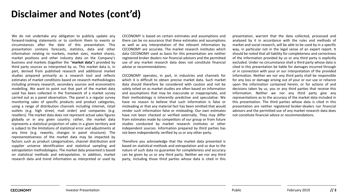#### **Disclaimer and Notes (cont'd)**

We do not undertake any obligation to publicly update any forward-looking statements or to conform them to events or circumstances after the date of this presentation. This presentation contains forecasts, statistics, data and other information relating to markets, market sizes, market shares, market positions and other industry data on the Company's business and markets (together the "**market data**") provided by third party sources as interpreted by us. This market data is, in part, derived from published research and additional market studies prepared primarily as a research tool and reflects estimates of market conditions based on research methodologies including primary research, secondary sources and econometric modelling. We want to point out that part of the market data used has been collected in the framework of a market survey carried out as a panel observation. The panel is a regular survey monitoring sales of specific products and product categories, using a range of distribution channels including internet, retail outlets (e.g. high street, mail order) and companies (e.g. resellers). The market data does not represent actual sales figures globally or in any given country; rather, the market data represents a statistical projection of sales in a given territory and is subject to the limitations of statistical error and adjustments at any time (e.g. reworks, changes in panel structure). The representativeness of the market data may be impacted by factors such as product categorisation, channel distribution and supplier universe identification and statistical sampling and extrapolation methodologies. The market data presented is based on statistical methods and extrapolation. In addition, market research data and trend information as interpreted or used by

CECONOMY is based on certain estimates and assumptions and there can be no assurance that these estimates and assumptions as well as any interpretation of the relevant information by CECONOMY are accurate. The market research institutes which data CECONOMY used as basis for this presentation are neither registered broker dealers nor financial advisors and the permitted use of any market research data does not constitute financial advise or recommendations.

CECONOMY operates, in part, in industries and channels for which it is difficult to obtain precise market data. Such market data should therefore be considered with caution and not be solely relied on as market studies are often based on information and assumptions that may be inaccurate or inappropriate, and their methodology is inherently predictive and speculative. We have no reason to believe that such information is false or misleading or that any material fact has been omitted that would render such information false or misleading. Our own estimates have not been checked or verified externally. They may differ from estimates made by competitors of our group or from future studies conducted by market research institutes or other independent sources. Information prepared by third parties has not been independently verified by us or any other party.

Therefore you acknowledge that the market data presented is based on statistical methods and extrapolation and so due to the nature of such data no guarantee for completeness and accuracy can be given by us or any third party. Neither we nor any third party, including those third parties whose data is cited in this

presentation, warrant that the data collected, processed and analysed by it in accordance with the rules and methods of market and social research, will be able to be used by in a specific way, in particular not in the legal sense of an expert report. It should be noted that all liability for completeness and correctness of the information provided by us or any third party is explicitly excluded. Under no circumstance shall a third party whose data is cited in this presentation be liable for damages incurred through or in connection with your or our interpretation of the provided information. Neither we nor any third party shall be responsible for any loss or damage arising out of your or our use or reliance upon the information contained herein, or for actions of and decisions taken by us, you or any third parties that receive this information. Neither we nor any third party give any representations as to the accuracy of the market data included in this presentation. The third parties whose data is cited in this presentation are neither registered broker-dealers nor financial advisors and the permitted use of any market research data does not constitute financial advice or recommendations.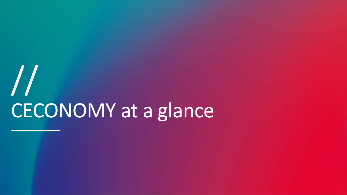# CECONOMY at a glance //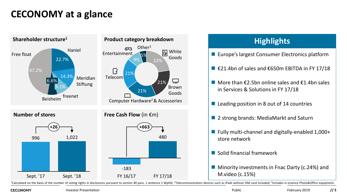#### **CECONOMY at a glance**



<sup>1</sup>Calculated on the basis of the number of voting rights in disclosures pursuant to section 40 para. 1 sentence 1 WpHG; <sup>2</sup>Telecommunication devices such as iPads without SIM card included; <sup>3</sup>Includes in essence Photo&Of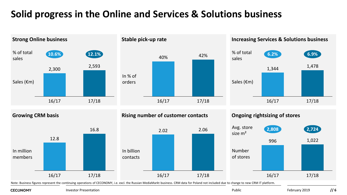### **Solid progress in the Online and Services & Solutions business**



**CECONOMY** 

Investor Presentation **Public** Public **Public Public Public Public Public Public Public Public Public Public Public Public Public Public Public Public Public Public Public Public Public Public Public Public Public Public P**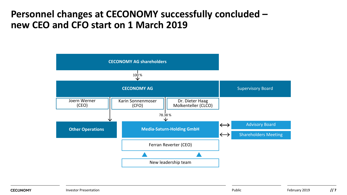#### **Personnel changes at CECONOMY successfully concluded – new CEO and CFO start on 1 March 2019**

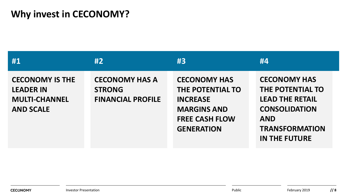### **Why invest in CECONOMY?**

| #1                                                                                     | #2                                                                 | #3                                                                                                                             | #4                                                                                                                                                       |
|----------------------------------------------------------------------------------------|--------------------------------------------------------------------|--------------------------------------------------------------------------------------------------------------------------------|----------------------------------------------------------------------------------------------------------------------------------------------------------|
| <b>CECONOMY IS THE</b><br><b>LEADER IN</b><br><b>MULTI-CHANNEL</b><br><b>AND SCALE</b> | <b>CECONOMY HAS A</b><br><b>STRONG</b><br><b>FINANCIAL PROFILE</b> | <b>CECONOMY HAS</b><br>THE POTENTIAL TO<br><b>INCREASE</b><br><b>MARGINS AND</b><br><b>FREE CASH FLOW</b><br><b>GENERATION</b> | <b>CECONOMY HAS</b><br>THE POTENTIAL TO<br><b>LEAD THE RETAIL</b><br><b>CONSOLIDATION</b><br><b>AND</b><br><b>TRANSFORMATION</b><br><b>IN THE FUTURE</b> |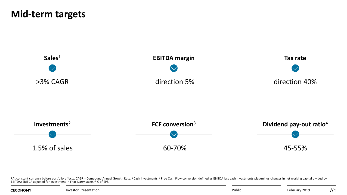#### **Mid-term targets**



<sup>1</sup>At constant currency before portfolio effects. CAGR = Compound Annual Growth Rate. <sup>2</sup> Cash investments. <sup>3</sup> Free Cash Flow conversion defined as EBITDA less cash investments plus/minus changes in net working capital di

| <b>CECONOMY</b>       | Publi | 72019   | $\overline{\phantom{a}}$ |
|-----------------------|-------|---------|--------------------------|
| Investor Presentation |       | 'ebruai | ,,                       |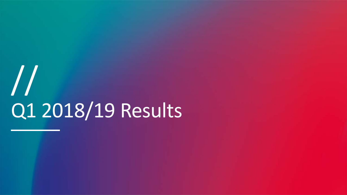# Q1 2018/19 Results //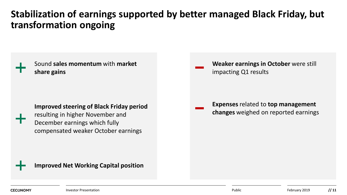### **Stabilization of earnings supported by better managed Black Friday, but transformation ongoing**

Sound **sales momentum** with **market share gains**

#### **Improved steering of Black Friday period**

resulting in higher November and December earnings which fully compensated weaker October earnings

**Weaker earnings in October** were still impacting Q1 results

**Expenses** related to **top management changes** weighed on reported earnings

**Improved Net Working Capital position**

**CECONOMY**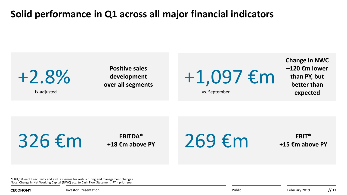#### **Solid performance in Q1 across all major financial indicators**



 $326 \, \epsilon$ m  $\epsilon$ <sup>EBITDA\*</sup>

 $269$  €m  $+15$   $\epsilon$ m abo

**+15 €m above PY**

\*EBIT/DA excl. Fnac Darty and excl. expenses for restructuring and management changes. Note: Change in Net Working Capital (NWC) acc. to Cash Flow Statement. PY = prior year.

**CECONOMY**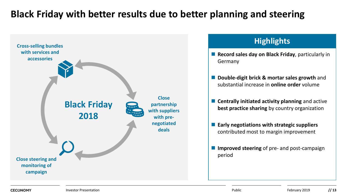#### **Black Friday with better results due to better planning and steering**



- **Record sales day on Black Friday**, particularly in Germany
- **Double-digit brick & mortar sales growth** and substantial increase in **online order** volume
- **E** Centrally initiated activity planning and active **best practice sharing** by country organization
- **Early negotiations with strategic suppliers**  contributed most to margin improvement
- **Improved steering** of pre- and post-campaign period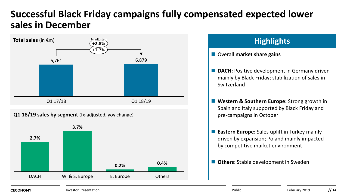#### **Successful Black Friday campaigns fully compensated expected lower sales in December**



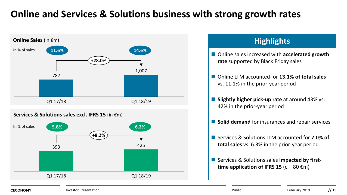### **Online and Services & Solutions business with strong growth rates**



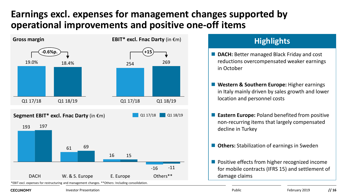### **Earnings excl. expenses for management changes supported by operational improvements and positive one-off items**



#### **Highlights**

- **DACH:** Better managed Black Friday and cost reductions overcompensated weaker earnings in October
- Western & Southern Europe: Higher earnings in Italy mainly driven by sales growth and lower location and personnel costs
- **E** Eastern Europe: Poland benefited from positive non-recurring items that largely compensated decline in Turkey
- Others: Stabilization of earnings in Sweden
- **Positive effects from higher recognized income** for mobile contracts (IFRS 15) and settlement of damage claims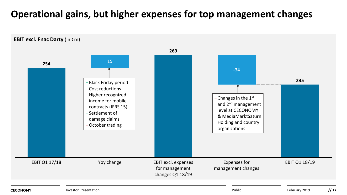### **Operational gains, but higher expenses for top management changes**

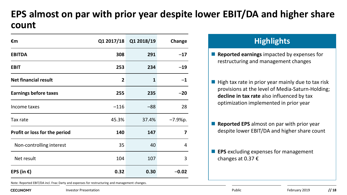### **EPS almost on par with prior year despite lower EBIT/DA and higher share count**

| €m                            |              | Q1 2017/18 Q1 2018/19 | Change    |
|-------------------------------|--------------|-----------------------|-----------|
| <b>EBITDA</b>                 | 308          | 291                   | $-17$     |
| <b>EBIT</b>                   | 253          | 234                   | $-19$     |
| <b>Net financial result</b>   | $\mathbf{2}$ | 1                     | $-1$      |
| <b>Earnings before taxes</b>  | 255          | 235                   | $-20$     |
| Income taxes                  | $-116$       | $-88$                 | 28        |
| Tax rate                      | 45.3%        | 37.4%                 | $-7.9%p.$ |
| Profit or loss for the period | 140          | 147                   | 7         |
| Non-controlling interest      | 35           | 40                    | 4         |
| Net result                    | 104          | 107                   | 3         |
| EPS (in $\epsilon$ )          | 0.32         | 0.30                  | $-0.02$   |

Note: Reported EBIT/DA incl. Fnac Darty and expenses for restructuring and management changes.

#### **CECONOMY**

#### **Highlights**

- **Reported earnings** impacted by expenses for restructuring and management changes
- $\blacksquare$  High tax rate in prior year mainly due to tax risk provisions at the level of Media-Saturn-Holding; **decline in tax rate** also influenced by tax optimization implemented in prior year
- **Reported EPS** almost on par with prior year despite lower EBIT/DA and higher share count
- **EPS** excluding expenses for management changes at 0.37 €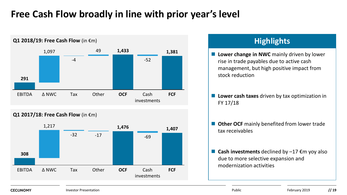#### **Free Cash Flow broadly in line with prior year's level**



**CECONOMY**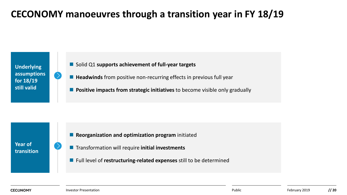### **CECONOMY manoeuvres through a transition year in FY 18/19**

**Underlying assumptions for 18/19 still valid**

- Solid Q1 supports achievement of full-year targets
- Headwinds from positive non-recurring effects in previous full year
- **Positive impacts from strategic initiatives** to become visible only gradually

**Year of transition**

- **Reorganization and optimization program** initiated
- **Transformation will require initial investments**
- **Full level of restructuring-related expenses** still to be determined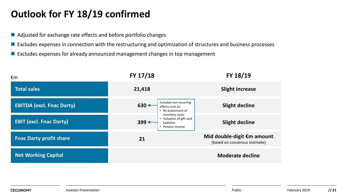#### **Outlook for FY 18/19 confirmed**

- Adjusted for exchange rate effects and before portfolio changes
- Excludes expenses in connection with the restructuring and optimization of structures and business processes
- **Excludes expenses for already announced management changes in top management**

| €m                               | FY 17/18                                                                                | FY 18/19                                                    |
|----------------------------------|-----------------------------------------------------------------------------------------|-------------------------------------------------------------|
| <b>Total sales</b>               | 21,418                                                                                  | <b>Slight increase</b>                                      |
| <b>EBITDA (excl. Fnac Darty)</b> | Included non-recurring<br>$630 +$<br>effects such as:<br>• Re-assessment of             | <b>Slight decline</b>                                       |
| <b>EBIT (excl. Fnac Darty)</b>   | inventory costs<br>• Valuation of gift card<br>$399 +$<br>liabilities<br>Pension income | <b>Slight decline</b>                                       |
| <b>Fnac Darty profit share</b>   | 21                                                                                      | Mid double-digit €m amount<br>(based on consensus estimate) |
| <b>Net Working Capital</b>       |                                                                                         | <b>Moderate decline</b>                                     |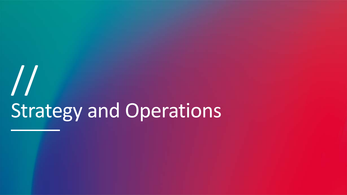# Strategy and Operations //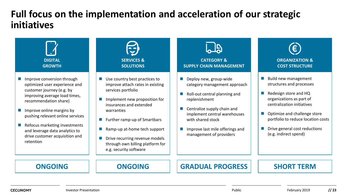#### **Full focus on the implementation and acceleration of our strategic initiatives**

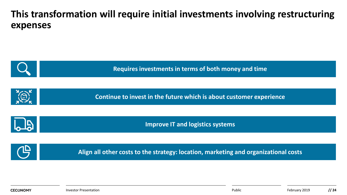#### **This transformation will require initial investments involving restructuring expenses**

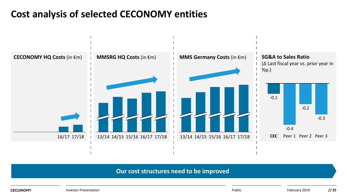### **Cost analysis of selected CECONOMY entities**



#### **Our cost structures need to be improved**

**CECONOMY**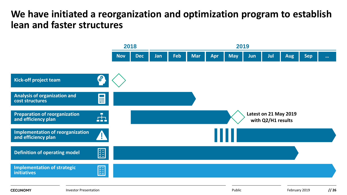#### **We have initiated a reorganization and optimization program to establish lean and faster structures**

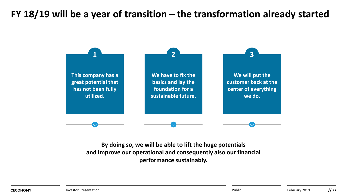### **FY 18/19 will be a year of transition – the transformation already started**



**By doing so, we will be able to lift the huge potentials and improve our operational and consequently also our financial performance sustainably.**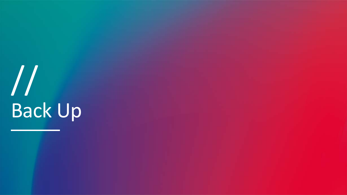# Back Up //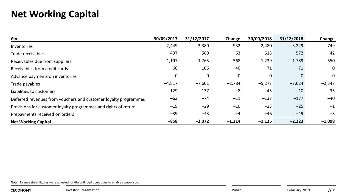#### **Net Working Capital**

| €m                                                              | 30/09/2017 | 31/12/2017 | Change   | 30/09/2018 | 31/12/2018 | Change   |
|-----------------------------------------------------------------|------------|------------|----------|------------|------------|----------|
| Inventories                                                     | 2,449      | 3,380      | 932      | 2,480      | 3,229      | 749      |
| Trade receivables                                               | 497        | 560        | 63       | 613        | 572        | $-42$    |
| Receivables due from suppliers                                  | 1,197      | 1,765      | 568      | 1.239      | 1,789      | 550      |
| Receivables from credit cards                                   | 66         | 106        | 40       | 71         | 71         | 0        |
| Advance payments on inventories                                 | 0          | 0          | 0        | 0          |            | 0        |
| Trade payables                                                  | $-4,817$   | $-7,601$   | $-2,784$ | $-5,277$   | $-7,624$   | $-2,347$ |
| Liabilities to customers                                        | $-129$     | $-137$     | $-8$     | $-45$      | $-10$      | 35       |
| Deferred revenues from vouchers and customer loyalty programmes | $-63$      | $-74$      | $-11$    | $-137$     | $-177$     | $-40$    |
| Provisions for customer loyalty programmes and rights of return | $-19$      | $-29$      | $-10$    | $-23$      | $-25$      | $-1$     |
| Prepayments received on orders                                  | $-39$      | $-43$      | $-4$     | $-46$      | $-49$      | -3       |
| <b>Net Working Capital</b>                                      | $-858$     | $-2,072$   | $-1,214$ | $-1,125$   | $-2,223$   | $-1,098$ |

Note: Balance sheet figures were adjusted for discontinued operations to enable comparison.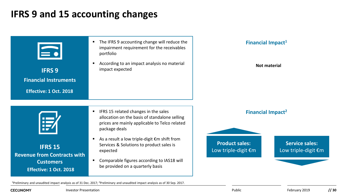#### **IFRS 9 and 15 accounting changes**



1Preliminary and unaudited impact analysis as of 31 Dec. 2017; 2Preliminary and unaudited impact analysis as of 30 Sep. 2017.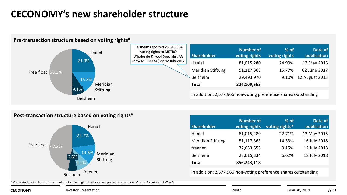#### **CECONOMY's new shareholder structure**



#### **Pre-transaction structure based on voting rights\***

#### **Post-transaction structure based on voting rights\***



| <b>Shareholder</b> | <b>Number of</b><br>voting rights | $%$ of<br>voting rights* | Date of<br>publication |
|--------------------|-----------------------------------|--------------------------|------------------------|
| Haniel             | 81,015,280                        | 22.71%                   | 13 May 2015            |
| Meridian Stiftung  | 51,117,363                        | 14.33%                   | 16 July 2018           |
| freenet            | 32,633,555                        | 9.15%                    | 12 July 2018           |
| <b>Beisheim</b>    | 23,615,334                        | 6.62%                    | 18 July 2018           |
| Total              | 356,743,118                       |                          |                        |

In addition: 2,677,966 non-voting preference shares outstanding

\* Calculated on the basis of the number of voting rights in disclosures pursuant to section 40 para. 1 sentence 1 WpHG

**CECONOMY** 

**Investor Presentation Public**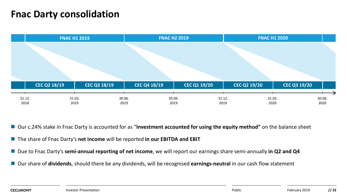#### **Fnac Darty consolidation**

|                |                     | <b>FNAC H1 2019</b> |                     |                | <b>FNAC H2 2019</b> |                |                     | <b>FNAC H1 2020</b> |                     |                |                     |                |  |
|----------------|---------------------|---------------------|---------------------|----------------|---------------------|----------------|---------------------|---------------------|---------------------|----------------|---------------------|----------------|--|
|                |                     |                     |                     |                |                     |                |                     |                     |                     |                |                     |                |  |
|                | <b>CEC Q2 18/19</b> |                     | <b>CEC Q3 18/19</b> |                | CEC Q4 18/19        |                | <b>CEC Q1 19/20</b> |                     | <b>CEC Q2 19/20</b> |                | <b>CEC Q3 19/20</b> |                |  |
| 31.12.<br>2018 |                     | 31.03.<br>2019      |                     | 30.06.<br>2019 |                     | 30.09.<br>2019 |                     | 31.12.<br>2019      |                     | 31.03.<br>2020 |                     | 30.06.<br>2020 |  |

■ Our c.24% stake in Fnac Darty is accounted for as "Investment accounted for using the equity method" on the balance sheet

- The share of Fnac Darty's **net income** will be reported **in our EBITDA and EBIT**
- Due to Fnac Darty's semi-annual reporting of net income, we will report our earnings share semi-annually in Q2 and Q4
- Our share of **dividends**, should there be any dividends, will be recognised **earnings-neutral** in our cash flow statement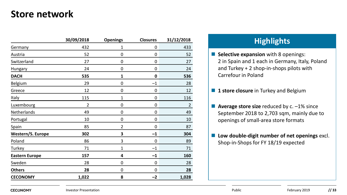#### **Store network**

|                       | 30/09/2018     | <b>Openings</b> | <b>Closures</b> | 31/12/2018     |
|-----------------------|----------------|-----------------|-----------------|----------------|
| Germany               | 432            | 1               | 0               | 433            |
| Austria               | 52             | 0               | 0               | 52             |
| Switzerland           | 27             | 0               | 0               | 27             |
| Hungary               | 24             | 0               | 0               | 24             |
| <b>DACH</b>           | 535            | 1               | 0               | 536            |
| Belgium               | 29             | 0               | $-1$            | 28             |
| Greece                | 12             | 0               | 0               | 12             |
| Italy                 | 115            | $\mathbf 1$     | 0               | 116            |
| Luxembourg            | $\overline{2}$ | 0               | 0               | $\overline{2}$ |
| Netherlands           | 49             | 0               | 0               | 49             |
| Portugal              | 10             | 0               | 0               | 10             |
| Spain                 | 85             | 2               | 0               | 87             |
| Western/S. Europe     | 302            | 3               | $-1$            | 304            |
| Poland                | 86             | 3               | $\Omega$        | 89             |
| Turkey                | 71             | 1               | $-1$            | 71             |
| <b>Eastern Europe</b> | 157            | 4               | $-1$            | 160            |
| Sweden                | 28             | 0               | 0               | 28             |
| <b>Others</b>         | 28             | 0               | 0               | 28             |
| <b>CECONOMY</b>       | 1,022          | 8               | -2              | 1,028          |

#### **Highlights 30/09/2018 Openings Closures 31/12/2018**

**Selective expansion** with 8 openings: 2 in Spain and 1 each in Germany, Italy, Poland and Turkey + 2 shop-in-shops pilots with Carrefour in Poland

**1 Store closure** in Turkey and Belgium

■ **Average store size** reduced by c. -1% since September 2018 to 2,703 sqm, mainly due to openings of small-area store formats

**Low double-digit number of net openings** excl. Shop-in-Shops for FY 18/19 expected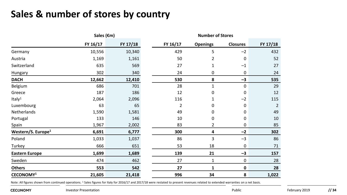#### **Sales & number of stores by country**

|                                | Sales (€m) |          |  |          |                 |                 |          |
|--------------------------------|------------|----------|--|----------|-----------------|-----------------|----------|
|                                | FY 16/17   | FY 17/18 |  | FY 16/17 | <b>Openings</b> | <b>Closures</b> | FY 17/18 |
| Germany                        | 10,556     | 10,340   |  | 429      | 5               | $-2$            | 432      |
| Austria                        | 1,169      | 1,161    |  | 50       | 2               | 0               | 52       |
| Switzerland                    | 635        | 569      |  | 27       | 1               | $-1$            | 27       |
| Hungary                        | 302        | 340      |  | 24       | 0               | 0               | 24       |
| <b>DACH</b>                    | 12,662     | 12,410   |  | 530      | 8               | $-3$            | 535      |
| Belgium                        | 686        | 701      |  | 28       | 1               | 0               | 29       |
| Greece                         | 187        | 186      |  | 12       | 0               | 0               | 12       |
| Italy <sup>1</sup>             | 2,064      | 2,096    |  | 116      | 1               | $-2$            | 115      |
| Luxembourg                     | 63         | 65       |  | 2        | 0               | 0               | 2        |
| Netherlands                    | 1,590      | 1,581    |  | 49       | 0               | 0               | 49       |
| Portugal                       | 133        | 146      |  | 10       | 0               | 0               | 10       |
| <b>Spain</b>                   | 1,967      | 2,002    |  | 83       | 2               | 0               | 85       |
| Western/S. Europe <sup>1</sup> | 6,691      | 6,777    |  | 300      | 4               | $-2$            | 302      |
| Poland                         | 1,033      | 1,037    |  | 86       | 3               | $-3$            | 86       |
| Turkey                         | 666        | 651      |  | 53       | 18              | 0               | 71       |
| <b>Eastern Europe</b>          | 1,699      | 1,689    |  | 139      | 21              | $-3$            | 157      |
| Sweden                         | 474        | 462      |  | 27       | 1               | 0               | 28       |
| <b>Others</b>                  | 553        | 542      |  | 27       | 1               | 0               | 28       |
| CECONOMY <sup>1</sup>          | 21,605     | 21,418   |  | 996      | 34              | 8               | 1,022    |

Note: All figures shown from continued operations. <sup>1</sup> Sales figures for Italy for 2016/17 and 2017/18 were restated to present revenues related to extended warranties on a net basis.

**CECONOMY**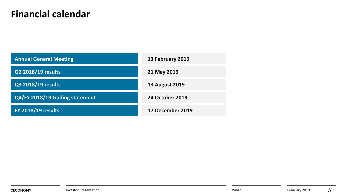#### **Financial calendar**

| <b>Annual General Meeting</b>   | 13 February 2019      |  |  |  |
|---------------------------------|-----------------------|--|--|--|
| Q2 2018/19 results              | 21 May 2019           |  |  |  |
| Q3 2018/19 results              | <b>13 August 2019</b> |  |  |  |
| Q4/FY 2018/19 trading statement | 24 October 2019       |  |  |  |
| <b>FY 2018/19 results</b>       | 17 December 2019      |  |  |  |